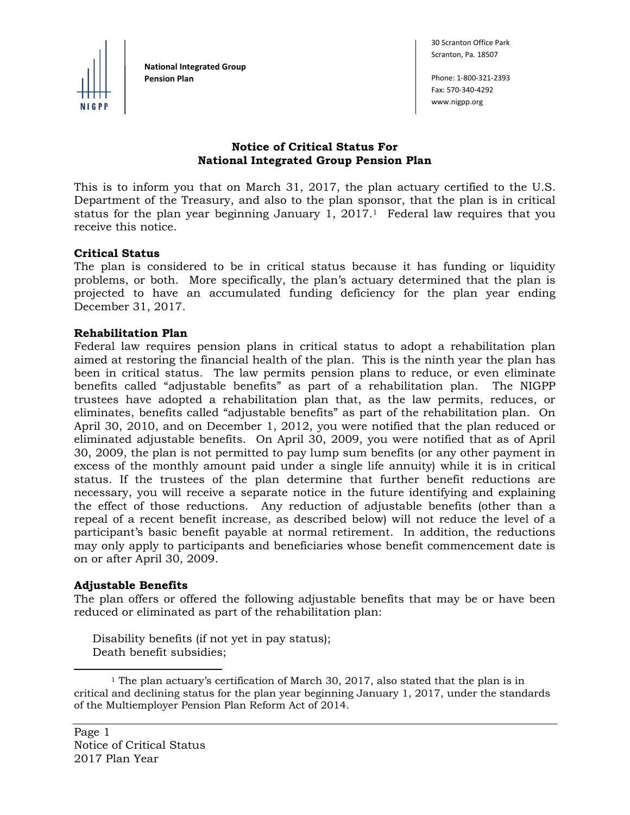

**National Integrated Group Pension Plan** Phone: 1‐800‐321‐2393

30 Scranton Office Park Scranton, Pa. 18507

Fax: 570‐340‐4292 www.nigpp.org

# **Notice of Critical Status For National Integrated Group Pension Plan**

This is to inform you that on March 31, 2017, the plan actuary certified to the U.S. Department of the Treasury, and also to the plan sponsor, that the plan is in critical status for the plan year beginning January 1,  $2017<sup>1</sup>$  Federal law requires that you receive this notice.

### **Critical Status**

The plan is considered to be in critical status because it has funding or liquidity problems, or both. More specifically, the plan's actuary determined that the plan is projected to have an accumulated funding deficiency for the plan year ending December 31, 2017.

### **Rehabilitation Plan**

Federal law requires pension plans in critical status to adopt a rehabilitation plan aimed at restoring the financial health of the plan. This is the ninth year the plan has been in critical status. The law permits pension plans to reduce, or even eliminate benefits called "adjustable benefits" as part of a rehabilitation plan. The NIGPP trustees have adopted a rehabilitation plan that, as the law permits, reduces, or eliminates, benefits called "adjustable benefits" as part of the rehabilitation plan. On April 30, 2010, and on December 1, 2012, you were notified that the plan reduced or eliminated adjustable benefits. On April 30, 2009, you were notified that as of April 30, 2009, the plan is not permitted to pay lump sum benefits (or any other payment in excess of the monthly amount paid under a single life annuity) while it is in critical status. If the trustees of the plan determine that further benefit reductions are necessary, you will receive a separate notice in the future identifying and explaining the effect of those reductions. Any reduction of adjustable benefits (other than a repeal of a recent benefit increase, as described below) will not reduce the level of a participant's basic benefit payable at normal retirement. In addition, the reductions may only apply to participants and beneficiaries whose benefit commencement date is on or after April 30, 2009.

#### **Adjustable Benefits**

l

The plan offers or offered the following adjustable benefits that may be or have been reduced or eliminated as part of the rehabilitation plan:

Disability benefits (if not yet in pay status); Death benefit subsidies;

<sup>&</sup>lt;sup>1</sup> The plan actuary's certification of March 30, 2017, also stated that the plan is in critical and declining status for the plan year beginning January 1, 2017, under the standards of the Multiemployer Pension Plan Reform Act of 2014.